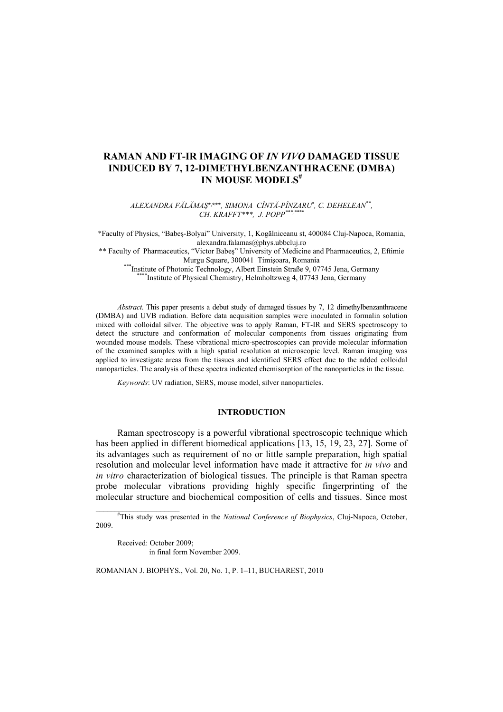# **RAMAN AND FT-IR IMAGING OF** *IN VIVO* **DAMAGED TISSUE INDUCED BY 7, 12-DIMETHYLBENZANTHRACENE (DMBA) IN MOUSE MODELS#**

*ALEXANDRA FĂLĂMAŞ*\*, \*\*\**, SIMONA CÎNTĂ-PÎNZARU\*, C. DEHELEAN\*\*, CH. KRAFFT\*\*\*, J. POPP*<sup>\*\*\*</sup>

\*Faculty of Physics, "Babeş-Bolyai" University, 1, Kogălniceanu st, 400084 Cluj-Napoca, Romania, alexandra.falamas@phys.ubbcluj.ro \*\* Faculty of Pharmaceutics, "Victor Babeş" University of Medicine and Pharmaceutics, 2, Eftimie Murgu Square, 300041 Timişoara, Romania \*\*\*Institute of Photonic Technology, Albert Einstein Straße 9, 07745 Jena, Germany \*\*\*\*Institute of Physical Chemistry, Helmholtzweg 4, 07743 Jena, Germany

*Abstract*. This paper presents a debut study of damaged tissues by 7, 12 dimethylbenzanthracene (DMBA) and UVB radiation. Before data acquisition samples were inoculated in formalin solution mixed with colloidal silver. The objective was to apply Raman, FT-IR and SERS spectroscopy to detect the structure and conformation of molecular components from tissues originating from wounded mouse models. These vibrational micro-spectroscopies can provide molecular information of the examined samples with a high spatial resolution at microscopic level. Raman imaging was applied to investigate areas from the tissues and identified SERS effect due to the added colloidal nanoparticles. The analysis of these spectra indicated chemisorption of the nanoparticles in the tissue.

*Keywords*: UV radiation, SERS, mouse model, silver nanoparticles.

### **INTRODUCTION**

Raman spectroscopy is a powerful vibrational spectroscopic technique which has been applied in different biomedical applications [13, 15, 19, 23, 27]. Some of its advantages such as requirement of no or little sample preparation, high spatial resolution and molecular level information have made it attractive for *in vivo* and *in vitro* characterization of biological tissues. The principle is that Raman spectra probe molecular vibrations providing highly specific fingerprinting of the molecular structure and biochemical composition of cells and tissues. Since most

\_\_\_\_\_\_\_\_\_\_\_\_\_\_\_\_\_\_\_\_\_\_ # This study was presented in the *National Conference of Biophysics*, Cluj-Napoca, October, 2009.

Received: October 2009; in final form November 2009.

ROMANIAN J. BIOPHYS., Vol. 20, No. 1, P. 1–11, BUCHAREST, 2010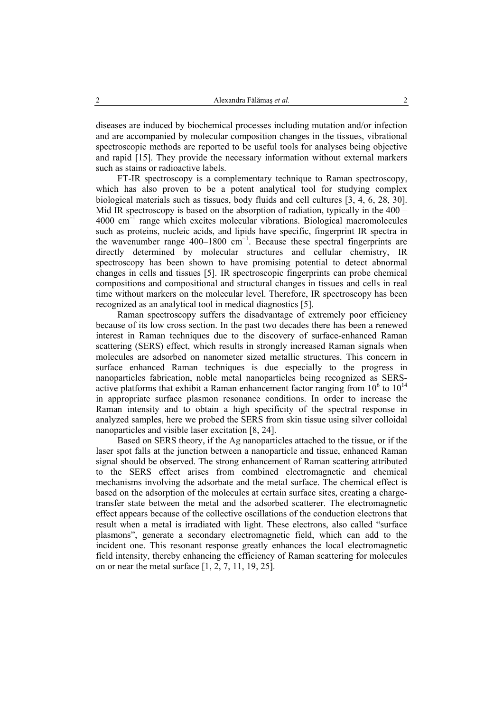diseases are induced by biochemical processes including mutation and/or infection and are accompanied by molecular composition changes in the tissues, vibrational spectroscopic methods are reported to be useful tools for analyses being objective and rapid [15]. They provide the necessary information without external markers such as stains or radioactive labels.

FT-IR spectroscopy is a complementary technique to Raman spectroscopy, which has also proven to be a potent analytical tool for studying complex biological materials such as tissues, body fluids and cell cultures [3, 4, 6, 28, 30]. Mid IR spectroscopy is based on the absorption of radiation, typically in the 400 –  $4000 \text{ cm}^{-1}$  range which excites molecular vibrations. Biological macromolecules such as proteins, nucleic acids, and lipids have specific, fingerprint IR spectra in the wavenumber range 400–1800 cm−1. Because these spectral fingerprints are directly determined by molecular structures and cellular chemistry, IR spectroscopy has been shown to have promising potential to detect abnormal changes in cells and tissues [5]. IR spectroscopic fingerprints can probe chemical compositions and compositional and structural changes in tissues and cells in real time without markers on the molecular level. Therefore, IR spectroscopy has been recognized as an analytical tool in medical diagnostics [5].

Raman spectroscopy suffers the disadvantage of extremely poor efficiency because of its low cross section. In the past two decades there has been a renewed interest in Raman techniques due to the discovery of surface-enhanced Raman scattering (SERS) effect, which results in strongly increased Raman signals when molecules are adsorbed on nanometer sized metallic structures. This concern in surface enhanced Raman techniques is due especially to the progress in nanoparticles fabrication, noble metal nanoparticles being recognized as SERSactive platforms that exhibit a Raman enhancement factor ranging from  $10^6$  to  $10^{14}$ in appropriate surface plasmon resonance conditions. In order to increase the Raman intensity and to obtain a high specificity of the spectral response in analyzed samples, here we probed the SERS from skin tissue using silver colloidal nanoparticles and visible laser excitation [8, 24].

Based on SERS theory, if the Ag nanoparticles attached to the tissue, or if the laser spot falls at the junction between a nanoparticle and tissue, enhanced Raman signal should be observed. The strong enhancement of Raman scattering attributed to the SERS effect arises from combined electromagnetic and chemical mechanisms involving the adsorbate and the metal surface. The chemical effect is based on the adsorption of the molecules at certain surface sites, creating a chargetransfer state between the metal and the adsorbed scatterer. The electromagnetic effect appears because of the collective oscillations of the conduction electrons that result when a metal is irradiated with light. These electrons, also called "surface plasmons", generate a secondary electromagnetic field, which can add to the incident one. This resonant response greatly enhances the local electromagnetic field intensity, thereby enhancing the efficiency of Raman scattering for molecules on or near the metal surface [1, 2, 7, 11, 19, 25].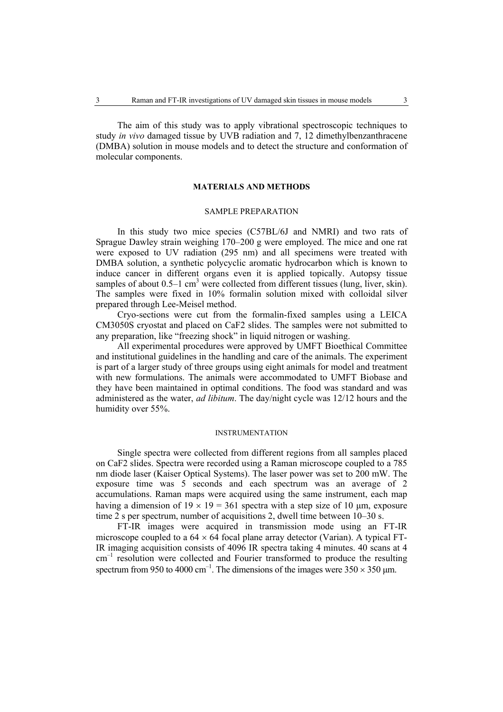The aim of this study was to apply vibrational spectroscopic techniques to study *in vivo* damaged tissue by UVB radiation and 7, 12 dimethylbenzanthracene (DMBA) solution in mouse models and to detect the structure and conformation of molecular components.

### **MATERIALS AND METHODS**

#### SAMPLE PREPARATION

In this study two mice species (C57BL/6J and NMRI) and two rats of Sprague Dawley strain weighing 170–200 g were employed. The mice and one rat were exposed to UV radiation (295 nm) and all specimens were treated with DMBA solution, a synthetic polycyclic aromatic hydrocarbon which is known to induce cancer in different organs even it is applied topically. Autopsy tissue samples of about  $0.5-1$  cm<sup>3</sup> were collected from different tissues (lung, liver, skin). The samples were fixed in 10% formalin solution mixed with colloidal silver prepared through Lee-Meisel method.

Cryo-sections were cut from the formalin-fixed samples using a LEICA CM3050S cryostat and placed on CaF2 slides. The samples were not submitted to any preparation, like "freezing shock" in liquid nitrogen or washing.

All experimental procedures were approved by UMFT Bioethical Committee and institutional guidelines in the handling and care of the animals. The experiment is part of a larger study of three groups using eight animals for model and treatment with new formulations. The animals were accommodated to UMFT Biobase and they have been maintained in optimal conditions. The food was standard and was administered as the water, *ad libitum*. The day/night cycle was 12/12 hours and the humidity over 55%.

#### INSTRUMENTATION

Single spectra were collected from different regions from all samples placed on CaF2 slides. Spectra were recorded using a Raman microscope coupled to a 785 nm diode laser (Kaiser Optical Systems). The laser power was set to 200 mW. The exposure time was 5 seconds and each spectrum was an average of 2 accumulations. Raman maps were acquired using the same instrument, each map having a dimension of  $19 \times 19 = 361$  spectra with a step size of 10 um, exposure time 2 s per spectrum, number of acquisitions 2, dwell time between  $10-30$  s.

FT-IR images were acquired in transmission mode using an FT-IR microscope coupled to a  $64 \times 64$  focal plane array detector (Varian). A typical FT-IR imaging acquisition consists of 4096 IR spectra taking 4 minutes. 40 scans at 4  $cm<sup>-1</sup>$  resolution were collected and Fourier transformed to produce the resulting spectrum from 950 to 4000 cm<sup>-1</sup>. The dimensions of the images were  $350 \times 350$  µm.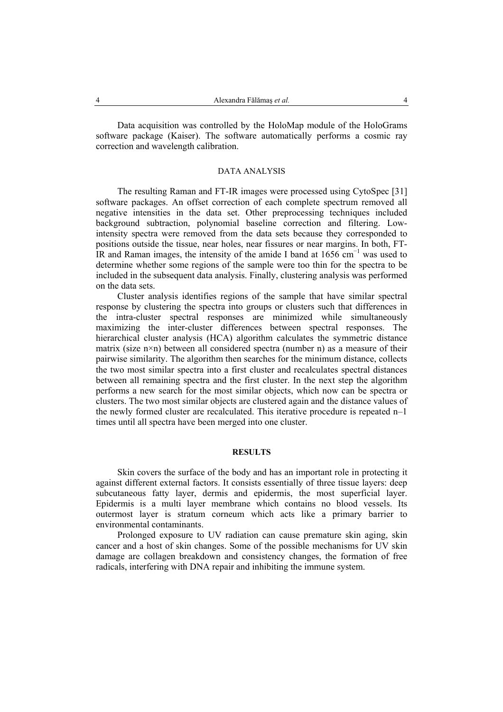Data acquisition was controlled by the HoloMap module of the HoloGrams software package (Kaiser). The software automatically performs a cosmic ray correction and wavelength calibration.

# DATA ANALYSIS

The resulting Raman and FT-IR images were processed using CytoSpec [31] software packages. An offset correction of each complete spectrum removed all negative intensities in the data set. Other preprocessing techniques included background subtraction, polynomial baseline correction and filtering. Lowintensity spectra were removed from the data sets because they corresponded to positions outside the tissue, near holes, near fissures or near margins. In both, FT-IR and Raman images, the intensity of the amide I band at  $1656 \text{ cm}^{-1}$  was used to determine whether some regions of the sample were too thin for the spectra to be included in the subsequent data analysis. Finally, clustering analysis was performed on the data sets.

Cluster analysis identifies regions of the sample that have similar spectral response by clustering the spectra into groups or clusters such that differences in the intra-cluster spectral responses are minimized while simultaneously maximizing the inter-cluster differences between spectral responses. The hierarchical cluster analysis (HCA) algorithm calculates the symmetric distance matrix (size  $n \times n$ ) between all considered spectra (number n) as a measure of their pairwise similarity. The algorithm then searches for the minimum distance, collects the two most similar spectra into a first cluster and recalculates spectral distances between all remaining spectra and the first cluster. In the next step the algorithm performs a new search for the most similar objects, which now can be spectra or clusters. The two most similar objects are clustered again and the distance values of the newly formed cluster are recalculated. This iterative procedure is repeated n–1 times until all spectra have been merged into one cluster.

# **RESULTS**

Skin covers the surface of the body and has an important role in protecting it against different external factors. It consists essentially of three tissue layers: deep subcutaneous fatty layer, dermis and epidermis, the most superficial layer. Epidermis is a multi layer membrane which contains no blood vessels. Its outermost layer is stratum corneum which acts like a primary barrier to environmental contaminants.

Prolonged exposure to UV radiation can cause premature skin aging, skin cancer and a host of skin changes. Some of the possible mechanisms for UV skin damage are collagen breakdown and consistency changes, the formation of free radicals, interfering with DNA repair and inhibiting the immune system.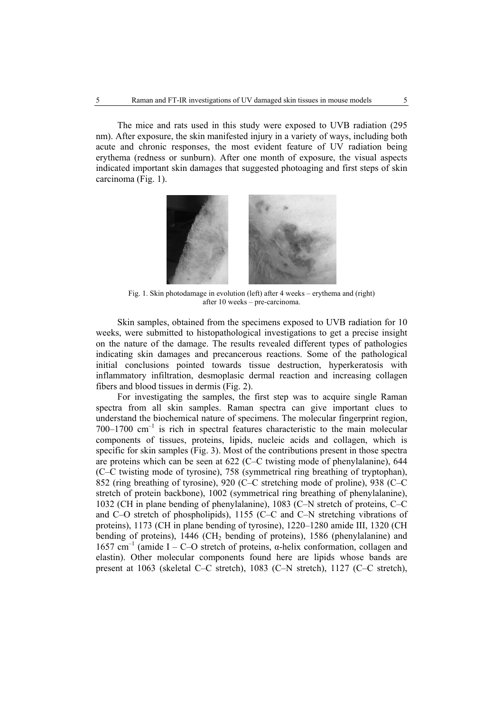The mice and rats used in this study were exposed to UVB radiation (295 nm). After exposure, the skin manifested injury in a variety of ways, including both acute and chronic responses, the most evident feature of UV radiation being erythema (redness or sunburn). After one month of exposure, the visual aspects indicated important skin damages that suggested photoaging and first steps of skin carcinoma (Fig. 1).



Fig. 1. Skin photodamage in evolution (left) after 4 weeks – erythema and (right) after 10 weeks – pre-carcinoma.

Skin samples, obtained from the specimens exposed to UVB radiation for 10 weeks, were submitted to histopathological investigations to get a precise insight on the nature of the damage. The results revealed different types of pathologies indicating skin damages and precancerous reactions. Some of the pathological initial conclusions pointed towards tissue destruction, hyperkeratosis with inflammatory infiltration, desmoplasic dermal reaction and increasing collagen fibers and blood tissues in dermis (Fig. 2).

For investigating the samples, the first step was to acquire single Raman spectra from all skin samples. Raman spectra can give important clues to understand the biochemical nature of specimens. The molecular fingerprint region,  $700-1700$  cm<sup>-1</sup> is rich in spectral features characteristic to the main molecular components of tissues, proteins, lipids, nucleic acids and collagen, which is specific for skin samples (Fig. 3). Most of the contributions present in those spectra are proteins which can be seen at 622 (C–C twisting mode of phenylalanine), 644 (C–C twisting mode of tyrosine), 758 (symmetrical ring breathing of tryptophan), 852 (ring breathing of tyrosine), 920 (C–C stretching mode of proline), 938 (C–C stretch of protein backbone), 1002 (symmetrical ring breathing of phenylalanine), 1032 (CH in plane bending of phenylalanine), 1083 (C–N stretch of proteins, C–C and C–O stretch of phospholipids), 1155 (C–C and C–N stretching vibrations of proteins), 1173 (CH in plane bending of tyrosine), 1220–1280 amide III, 1320 (CH bending of proteins),  $1446$  (CH<sub>2</sub> bending of proteins),  $1586$  (phenylalanine) and 1657 cm<sup>-1</sup> (amide I – C–O stretch of proteins, α-helix conformation, collagen and elastin). Other molecular components found here are lipids whose bands are present at 1063 (skeletal C–C stretch), 1083 (C–N stretch), 1127 (C–C stretch),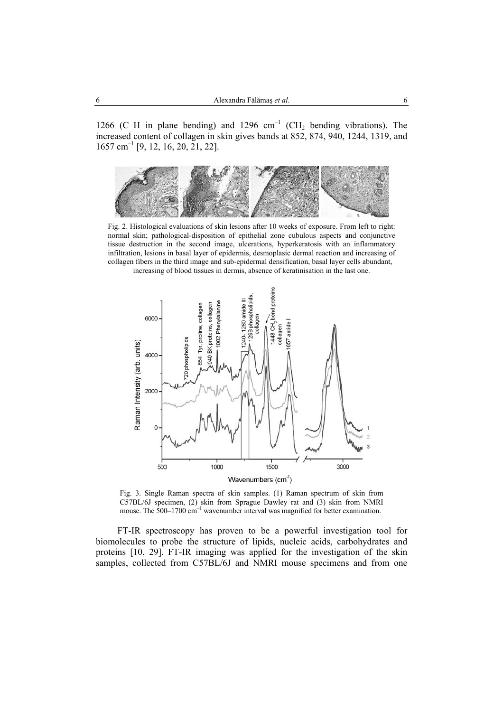1266 (C–H in plane bending) and 1296  $cm^{-1}$  (CH<sub>2</sub> bending vibrations). The increased content of collagen in skin gives bands at 852, 874, 940, 1244, 1319, and  $1657$  cm<sup>-1</sup> [9, 12, 16, 20, 21, 22].



Fig. 2. Histological evaluations of skin lesions after 10 weeks of exposure. From left to right: normal skin; pathological-disposition of epithelial zone cubulous aspects and conjunctive tissue destruction in the second image, ulcerations, hyperkeratosis with an inflammatory infiltration, lesions in basal layer of epidermis, desmoplasic dermal reaction and increasing of collagen fibers in the third image and sub-epidermal densification, basal layer cells abundant, increasing of blood tissues in dermis, absence of keratinisation in the last one.



Fig. 3. Single Raman spectra of skin samples. (1) Raman spectrum of skin from C57BL/6J specimen, (2) skin from Sprague Dawley rat and (3) skin from NMRI mouse. The  $500-1700$  cm<sup>-1</sup> wavenumber interval was magnified for better examination.

FT-IR spectroscopy has proven to be a powerful investigation tool for biomolecules to probe the structure of lipids, nucleic acids, carbohydrates and proteins [10, 29]. FT-IR imaging was applied for the investigation of the skin samples, collected from C57BL/6J and NMRI mouse specimens and from one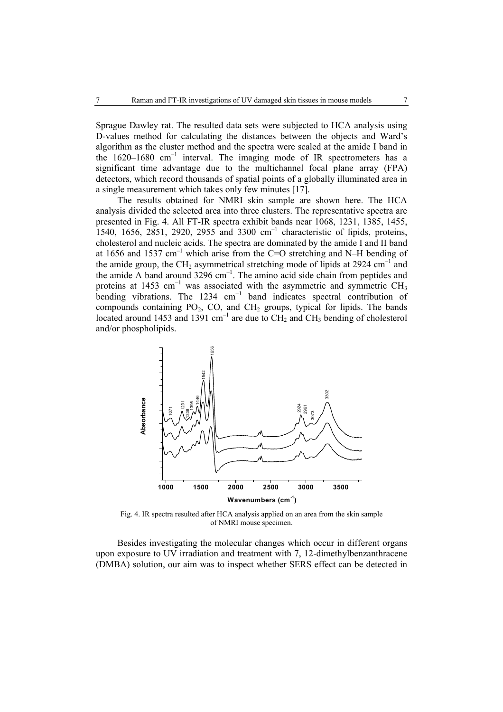Sprague Dawley rat. The resulted data sets were subjected to HCA analysis using D-values method for calculating the distances between the objects and Ward's algorithm as the cluster method and the spectra were scaled at the amide I band in the  $1620-1680$  cm<sup>-1</sup> interval. The imaging mode of IR spectrometers has a significant time advantage due to the multichannel focal plane array (FPA) detectors, which record thousands of spatial points of a globally illuminated area in a single measurement which takes only few minutes [17].

The results obtained for NMRI skin sample are shown here. The HCA analysis divided the selected area into three clusters. The representative spectra are presented in Fig. 4. All FT-IR spectra exhibit bands near 1068, 1231, 1385, 1455, 1540, 1656, 2851, 2920, 2955 and 3300 cm–1 characteristic of lipids, proteins, cholesterol and nucleic acids. The spectra are dominated by the amide I and II band at 1656 and 1537  $cm^{-1}$  which arise from the C=O stretching and N–H bending of the amide group, the CH<sub>2</sub> asymmetrical stretching mode of lipids at 2924 cm<sup>-1</sup> and the amide  $\overline{A}$  band around 3296 cm<sup>-1</sup>. The amino acid side chain from peptides and proteins at 1453 cm<sup>-1</sup> was associated with the asymmetric and symmetric CH<sub>3</sub> bending vibrations. The 1234 cm<sup>-1</sup> band indicates spectral contribution of compounds containing  $PO_2$ ,  $CO$ , and  $CH_2$  groups, typical for lipids. The bands located around 1453 and 1391 cm<sup>-1</sup> are due to  $\overline{CH_2}$  and  $\overline{CH_3}$  bending of cholesterol and/or phospholipids.



Fig. 4. IR spectra resulted after HCA analysis applied on an area from the skin sample of NMRI mouse specimen.

Besides investigating the molecular changes which occur in different organs upon exposure to UV irradiation and treatment with 7, 12-dimethylbenzanthracene (DMBA) solution, our aim was to inspect whether SERS effect can be detected in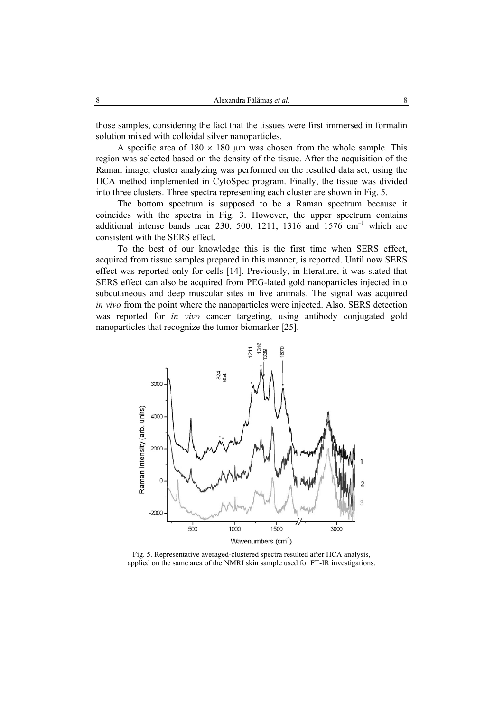those samples, considering the fact that the tissues were first immersed in formalin solution mixed with colloidal silver nanoparticles.

A specific area of  $180 \times 180$  µm was chosen from the whole sample. This region was selected based on the density of the tissue. After the acquisition of the Raman image, cluster analyzing was performed on the resulted data set, using the HCA method implemented in CytoSpec program. Finally, the tissue was divided into three clusters. Three spectra representing each cluster are shown in Fig. 5.

The bottom spectrum is supposed to be a Raman spectrum because it coincides with the spectra in Fig. 3. However, the upper spectrum contains additional intense bands near 230, 500, 1211, 1316 and 1576  $cm^{-1}$  which are consistent with the SERS effect.

To the best of our knowledge this is the first time when SERS effect, acquired from tissue samples prepared in this manner, is reported. Until now SERS effect was reported only for cells [14]. Previously, in literature, it was stated that SERS effect can also be acquired from PEG-lated gold nanoparticles injected into subcutaneous and deep muscular sites in live animals. The signal was acquired *in vivo* from the point where the nanoparticles were injected. Also, SERS detection was reported for *in vivo* cancer targeting, using antibody conjugated gold nanoparticles that recognize the tumor biomarker [25].



Fig. 5. Representative averaged-clustered spectra resulted after HCA analysis, applied on the same area of the NMRI skin sample used for FT-IR investigations.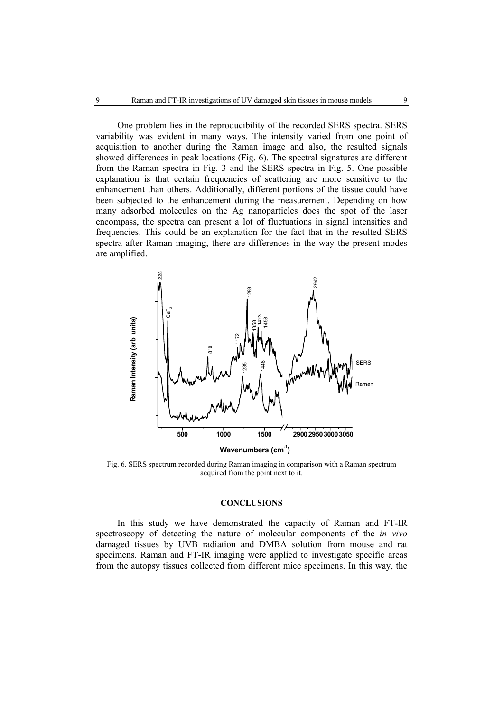One problem lies in the reproducibility of the recorded SERS spectra. SERS variability was evident in many ways. The intensity varied from one point of acquisition to another during the Raman image and also, the resulted signals showed differences in peak locations (Fig. 6). The spectral signatures are different from the Raman spectra in Fig. 3 and the SERS spectra in Fig. 5. One possible explanation is that certain frequencies of scattering are more sensitive to the enhancement than others. Additionally, different portions of the tissue could have been subjected to the enhancement during the measurement. Depending on how many adsorbed molecules on the Ag nanoparticles does the spot of the laser encompass, the spectra can present a lot of fluctuations in signal intensities and frequencies. This could be an explanation for the fact that in the resulted SERS spectra after Raman imaging, there are differences in the way the present modes are amplified.



Fig. 6. SERS spectrum recorded during Raman imaging in comparison with a Raman spectrum acquired from the point next to it.

#### **CONCLUSIONS**

In this study we have demonstrated the capacity of Raman and FT-IR spectroscopy of detecting the nature of molecular components of the *in vivo* damaged tissues by UVB radiation and DMBA solution from mouse and rat specimens. Raman and FT-IR imaging were applied to investigate specific areas from the autopsy tissues collected from different mice specimens. In this way, the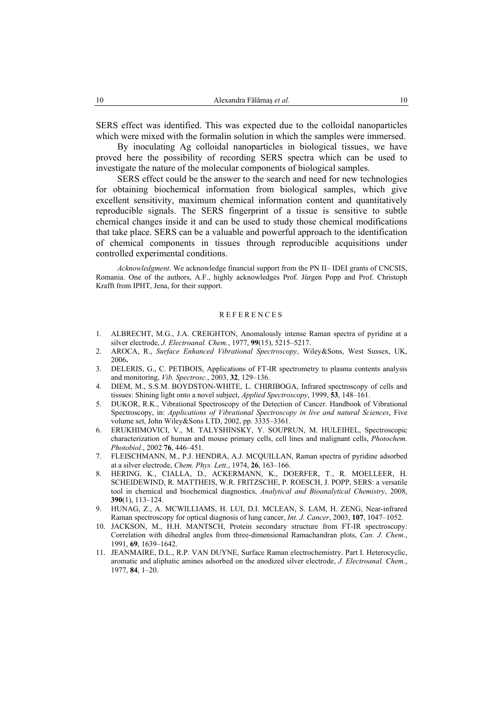SERS effect was identified. This was expected due to the colloidal nanoparticles which were mixed with the formalin solution in which the samples were immersed.

By inoculating Ag colloidal nanoparticles in biological tissues, we have proved here the possibility of recording SERS spectra which can be used to investigate the nature of the molecular components of biological samples.

SERS effect could be the answer to the search and need for new technologies for obtaining biochemical information from biological samples, which give excellent sensitivity, maximum chemical information content and quantitatively reproducible signals. The SERS fingerprint of a tissue is sensitive to subtle chemical changes inside it and can be used to study those chemical modifications that take place. SERS can be a valuable and powerful approach to the identification of chemical components in tissues through reproducible acquisitions under controlled experimental conditions.

*Acknowledgment*. We acknowledge financial support from the PN II– IDEI grants of CNCSIS, Romania. One of the authors, A.F., highly acknowledges Prof. Jürgen Popp and Prof. Christoph Krafft from IPHT, Jena, for their support.

#### REFERENCES

- 1. ALBRECHT, M.G., J.A. CREIGHTON, Anomalously intense Raman spectra of pyridine at a silver electrode, *J. Electroanal. Chem.*, 1977, **99**(15), 5215–5217.
- 2. AROCA, R., *Surface Enhanced Vibrational Spectroscopy*, Wiley&Sons, West Sussex, UK, 2006**.**
- 3. DELERIS, G., C. PETIBOIS, Applications of FT-IR spectrometry to plasma contents analysis and monitoring, *Vib. Spectrosc.*, 2003, **32**, 129–136.
- 4. DIEM, M., S.S.M. BOYDSTON-WHITE, L. CHIRIBOGA, Infrared spectroscopy of cells and tissues: Shining light onto a novel subject, *Applied Spectroscopy*, 1999, **53**, 148–161.
- 5. DUKOR, R.K., Vibrational Spectroscopy of the Detection of Cancer. Handbook of Vibrational Spectroscopy, in: *Applications of Vibrational Spectroscopy in live and natural Sciences*, Five volume set, John Wiley&Sons LTD, 2002, pp. 3335–3361.
- 6. ERUKHIMOVICI, V., M. TALYSHINSKY, Y. SOUPRUN, M. HULEIHEL, Spectroscopic characterization of human and mouse primary cells, cell lines and malignant cells, *Photochem. Photobiol*., 2002 **76**, 446–451.
- 7. FLEISCHMANN, M., P.J. HENDRA, A.J. MCQUILLAN, Raman spectra of pyridine adsorbed at a silver electrode, *Chem. Phys. Lett*., 1974, **26**, 163–166.
- 8. HERING, K., CIALLA, D., ACKERMANN, K., DOERFER, T., R. MOELLEER, H. SCHEIDEWIND, R. MATTHEIS, W.R. FRITZSCHE, P. ROESCH, J. POPP, SERS: a versatile tool in chemical and biochemical diagnostics, *Analytical and Bioanalytical Chemistry*, 2008, **390**(1), 113–124.
- 9. HUNAG, Z., A. MCWILLIAMS, H. LUI, D.I. MCLEAN, S. LAM, H. ZENG, Near-infrared Raman spectroscopy for optical diagnosis of lung cancer, *Int. J. Cancer*, 2003, **107**, 1047–1052.
- 10. JACKSON, M., H.H. MANTSCH, Protein secondary structure from FT-IR spectroscopy: Correlation with dihedral angles from three-dimensional Ramachandran plots, *Can. J. Chem*., 1991, **69**, 1639–1642.
- 11. JEANMAIRE, D.L., R.P. VAN DUYNE, Surface Raman electrochemistry. Part I. Heterocyclic, aromatic and aliphatic amines adsorbed on the anodized silver electrode, *J. Electroanal. Chem.*, 1977, **84**, 1–20.